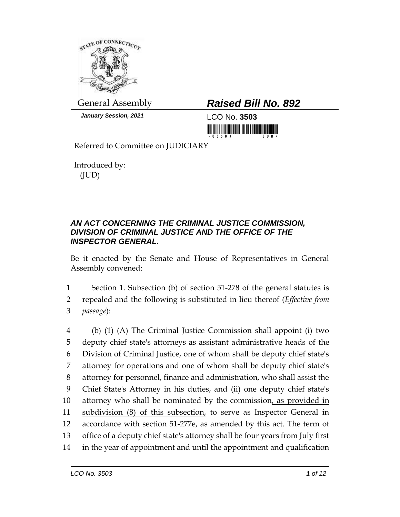

*January Session, 2021* LCO No. **3503**

## General Assembly *Raised Bill No. 892*

<u> 1999 - Andrew Maria Maria Maria Maria Maria Maria Maria Maria Maria Maria Maria Maria Maria Maria Maria Mari</u>

Referred to Committee on JUDICIARY

Introduced by: (JUD)

## *AN ACT CONCERNING THE CRIMINAL JUSTICE COMMISSION, DIVISION OF CRIMINAL JUSTICE AND THE OFFICE OF THE INSPECTOR GENERAL.*

Be it enacted by the Senate and House of Representatives in General Assembly convened:

1 Section 1. Subsection (b) of section 51-278 of the general statutes is 2 repealed and the following is substituted in lieu thereof (*Effective from*  3 *passage*):

 (b) (1) (A) The Criminal Justice Commission shall appoint (i) two deputy chief state's attorneys as assistant administrative heads of the Division of Criminal Justice, one of whom shall be deputy chief state's attorney for operations and one of whom shall be deputy chief state's attorney for personnel, finance and administration, who shall assist the Chief State's Attorney in his duties, and (ii) one deputy chief state's 10 attorney who shall be nominated by the commission, as provided in 11 subdivision (8) of this subsection, to serve as Inspector General in accordance with section 51-277e, as amended by this act. The term of office of a deputy chief state's attorney shall be four years from July first in the year of appointment and until the appointment and qualification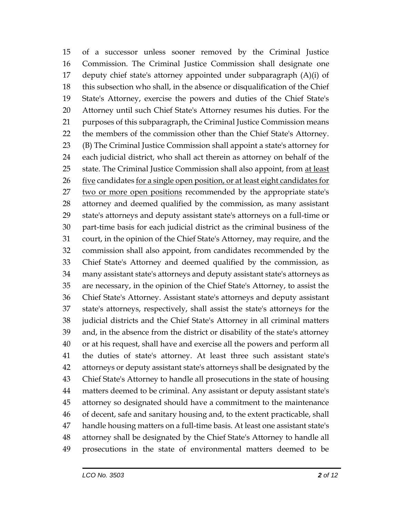of a successor unless sooner removed by the Criminal Justice Commission. The Criminal Justice Commission shall designate one deputy chief state's attorney appointed under subparagraph (A)(i) of this subsection who shall, in the absence or disqualification of the Chief State's Attorney, exercise the powers and duties of the Chief State's Attorney until such Chief State's Attorney resumes his duties. For the purposes of this subparagraph, the Criminal Justice Commission means the members of the commission other than the Chief State's Attorney. (B) The Criminal Justice Commission shall appoint a state's attorney for each judicial district, who shall act therein as attorney on behalf of the 25 state. The Criminal Justice Commission shall also appoint, from at least 26 five candidates for a single open position, or at least eight candidates for 27 two or more open positions recommended by the appropriate state's attorney and deemed qualified by the commission, as many assistant state's attorneys and deputy assistant state's attorneys on a full-time or part-time basis for each judicial district as the criminal business of the court, in the opinion of the Chief State's Attorney, may require, and the commission shall also appoint, from candidates recommended by the Chief State's Attorney and deemed qualified by the commission, as many assistant state's attorneys and deputy assistant state's attorneys as are necessary, in the opinion of the Chief State's Attorney, to assist the Chief State's Attorney. Assistant state's attorneys and deputy assistant state's attorneys, respectively, shall assist the state's attorneys for the judicial districts and the Chief State's Attorney in all criminal matters and, in the absence from the district or disability of the state's attorney or at his request, shall have and exercise all the powers and perform all the duties of state's attorney. At least three such assistant state's attorneys or deputy assistant state's attorneys shall be designated by the Chief State's Attorney to handle all prosecutions in the state of housing matters deemed to be criminal. Any assistant or deputy assistant state's attorney so designated should have a commitment to the maintenance of decent, safe and sanitary housing and, to the extent practicable, shall handle housing matters on a full-time basis. At least one assistant state's attorney shall be designated by the Chief State's Attorney to handle all prosecutions in the state of environmental matters deemed to be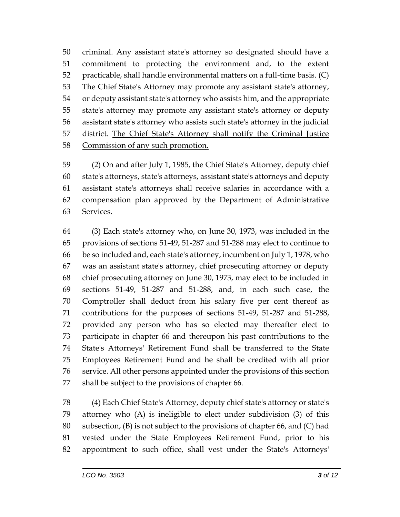criminal. Any assistant state's attorney so designated should have a commitment to protecting the environment and, to the extent practicable, shall handle environmental matters on a full-time basis. (C) The Chief State's Attorney may promote any assistant state's attorney, or deputy assistant state's attorney who assists him, and the appropriate state's attorney may promote any assistant state's attorney or deputy assistant state's attorney who assists such state's attorney in the judicial district. The Chief State's Attorney shall notify the Criminal Justice Commission of any such promotion.

 (2) On and after July 1, 1985, the Chief State's Attorney, deputy chief state's attorneys, state's attorneys, assistant state's attorneys and deputy assistant state's attorneys shall receive salaries in accordance with a compensation plan approved by the Department of Administrative Services.

 (3) Each state's attorney who, on June 30, 1973, was included in the provisions of sections 51-49, 51-287 and 51-288 may elect to continue to be so included and, each state's attorney, incumbent on July 1, 1978, who was an assistant state's attorney, chief prosecuting attorney or deputy chief prosecuting attorney on June 30, 1973, may elect to be included in sections 51-49, 51-287 and 51-288, and, in each such case, the Comptroller shall deduct from his salary five per cent thereof as contributions for the purposes of sections 51-49, 51-287 and 51-288, provided any person who has so elected may thereafter elect to participate in chapter 66 and thereupon his past contributions to the State's Attorneys' Retirement Fund shall be transferred to the State Employees Retirement Fund and he shall be credited with all prior service. All other persons appointed under the provisions of this section shall be subject to the provisions of chapter 66.

 (4) Each Chief State's Attorney, deputy chief state's attorney or state's attorney who (A) is ineligible to elect under subdivision (3) of this subsection, (B) is not subject to the provisions of chapter 66, and (C) had vested under the State Employees Retirement Fund, prior to his appointment to such office, shall vest under the State's Attorneys'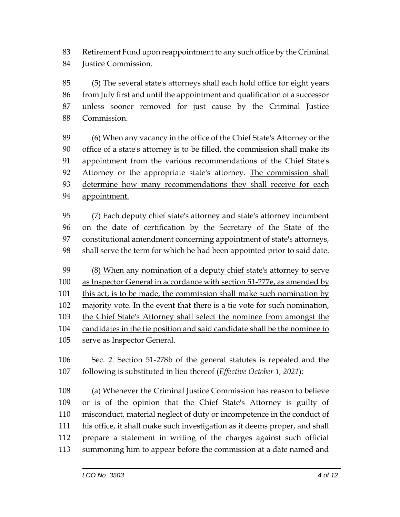Retirement Fund upon reappointment to any such office by the Criminal Justice Commission.

 (5) The several state's attorneys shall each hold office for eight years from July first and until the appointment and qualification of a successor unless sooner removed for just cause by the Criminal Justice Commission.

 (6) When any vacancy in the office of the Chief State's Attorney or the office of a state's attorney is to be filled, the commission shall make its appointment from the various recommendations of the Chief State's Attorney or the appropriate state's attorney. The commission shall determine how many recommendations they shall receive for each appointment.

 (7) Each deputy chief state's attorney and state's attorney incumbent on the date of certification by the Secretary of the State of the constitutional amendment concerning appointment of state's attorneys, shall serve the term for which he had been appointed prior to said date.

 (8) When any nomination of a deputy chief state's attorney to serve as Inspector General in accordance with section 51-277e, as amended by this act, is to be made, the commission shall make such nomination by majority vote. In the event that there is a tie vote for such nomination, 103 the Chief State's Attorney shall select the nominee from amongst the candidates in the tie position and said candidate shall be the nominee to serve as Inspector General.

 Sec. 2. Section 51-278b of the general statutes is repealed and the following is substituted in lieu thereof (*Effective October 1, 2021*):

 (a) Whenever the Criminal Justice Commission has reason to believe or is of the opinion that the Chief State's Attorney is guilty of misconduct, material neglect of duty or incompetence in the conduct of his office, it shall make such investigation as it deems proper, and shall prepare a statement in writing of the charges against such official summoning him to appear before the commission at a date named and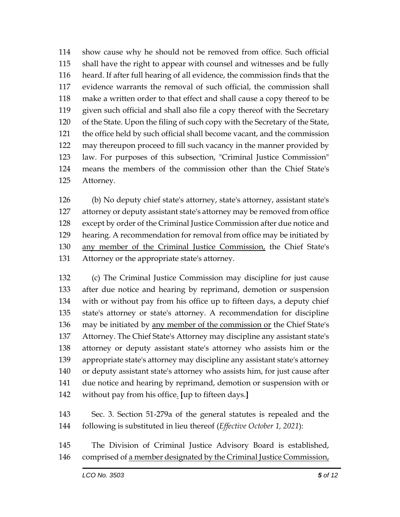show cause why he should not be removed from office. Such official shall have the right to appear with counsel and witnesses and be fully heard. If after full hearing of all evidence, the commission finds that the evidence warrants the removal of such official, the commission shall make a written order to that effect and shall cause a copy thereof to be given such official and shall also file a copy thereof with the Secretary of the State. Upon the filing of such copy with the Secretary of the State, the office held by such official shall become vacant, and the commission may thereupon proceed to fill such vacancy in the manner provided by law. For purposes of this subsection, "Criminal Justice Commission" means the members of the commission other than the Chief State's Attorney.

 (b) No deputy chief state's attorney, state's attorney, assistant state's attorney or deputy assistant state's attorney may be removed from office except by order of the Criminal Justice Commission after due notice and hearing. A recommendation for removal from office may be initiated by 130 any member of the Criminal Justice Commission, the Chief State's Attorney or the appropriate state's attorney.

 (c) The Criminal Justice Commission may discipline for just cause after due notice and hearing by reprimand, demotion or suspension with or without pay from his office up to fifteen days, a deputy chief state's attorney or state's attorney. A recommendation for discipline may be initiated by any member of the commission or the Chief State's Attorney. The Chief State's Attorney may discipline any assistant state's attorney or deputy assistant state's attorney who assists him or the appropriate state's attorney may discipline any assistant state's attorney or deputy assistant state's attorney who assists him, for just cause after due notice and hearing by reprimand, demotion or suspension with or without pay from his office. **[**up to fifteen days.**]**

 Sec. 3. Section 51-279a of the general statutes is repealed and the following is substituted in lieu thereof (*Effective October 1, 2021*):

 The Division of Criminal Justice Advisory Board is established, comprised of a member designated by the Criminal Justice Commission,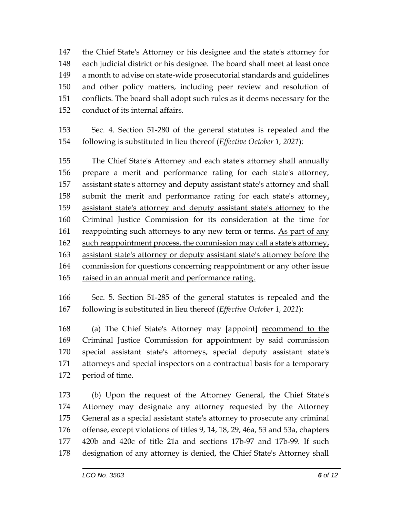the Chief State's Attorney or his designee and the state's attorney for each judicial district or his designee. The board shall meet at least once a month to advise on state-wide prosecutorial standards and guidelines and other policy matters, including peer review and resolution of conflicts. The board shall adopt such rules as it deems necessary for the conduct of its internal affairs.

 Sec. 4. Section 51-280 of the general statutes is repealed and the following is substituted in lieu thereof (*Effective October 1, 2021*):

155 The Chief State's Attorney and each state's attorney shall annually prepare a merit and performance rating for each state's attorney, assistant state's attorney and deputy assistant state's attorney and shall submit the merit and performance rating for each state's attorney, assistant state's attorney and deputy assistant state's attorney to the Criminal Justice Commission for its consideration at the time for 161 reappointing such attorneys to any new term or terms. As part of any 162 such reappointment process, the commission may call a state's attorney, assistant state's attorney or deputy assistant state's attorney before the commission for questions concerning reappointment or any other issue raised in an annual merit and performance rating.

 Sec. 5. Section 51-285 of the general statutes is repealed and the following is substituted in lieu thereof (*Effective October 1, 2021*):

 (a) The Chief State's Attorney may **[**appoint**]** recommend to the Criminal Justice Commission for appointment by said commission special assistant state's attorneys, special deputy assistant state's attorneys and special inspectors on a contractual basis for a temporary period of time.

 (b) Upon the request of the Attorney General, the Chief State's Attorney may designate any attorney requested by the Attorney General as a special assistant state's attorney to prosecute any criminal offense, except violations of titles 9, 14, 18, 29, 46a, 53 and 53a, chapters 420b and 420c of title 21a and sections 17b-97 and 17b-99. If such designation of any attorney is denied, the Chief State's Attorney shall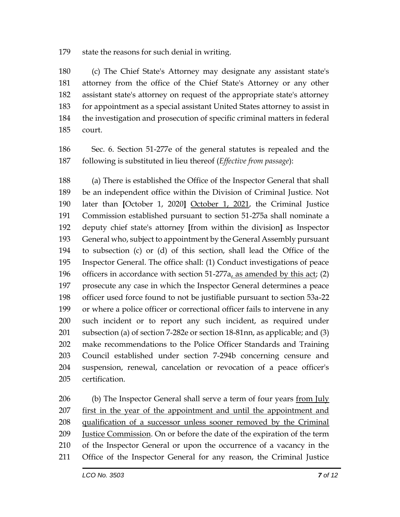state the reasons for such denial in writing.

 (c) The Chief State's Attorney may designate any assistant state's attorney from the office of the Chief State's Attorney or any other assistant state's attorney on request of the appropriate state's attorney for appointment as a special assistant United States attorney to assist in the investigation and prosecution of specific criminal matters in federal court.

 Sec. 6. Section 51-277e of the general statutes is repealed and the following is substituted in lieu thereof (*Effective from passage*):

 (a) There is established the Office of the Inspector General that shall be an independent office within the Division of Criminal Justice. Not later than **[**October 1, 2020**]** October 1, 2021, the Criminal Justice Commission established pursuant to section 51-275a shall nominate a deputy chief state's attorney **[**from within the division**]** as Inspector General who, subject to appointment by the General Assembly pursuant to subsection (c) or (d) of this section, shall lead the Office of the Inspector General. The office shall: (1) Conduct investigations of peace officers in accordance with section 51-277a, as amended by this act; (2) prosecute any case in which the Inspector General determines a peace officer used force found to not be justifiable pursuant to section 53a-22 or where a police officer or correctional officer fails to intervene in any such incident or to report any such incident, as required under subsection (a) of section 7-282e or section 18-81nn, as applicable; and (3) make recommendations to the Police Officer Standards and Training Council established under section 7-294b concerning censure and suspension, renewal, cancelation or revocation of a peace officer's certification.

206 (b) The Inspector General shall serve a term of four years from July first in the year of the appointment and until the appointment and qualification of a successor unless sooner removed by the Criminal Justice Commission. On or before the date of the expiration of the term of the Inspector General or upon the occurrence of a vacancy in the Office of the Inspector General for any reason, the Criminal Justice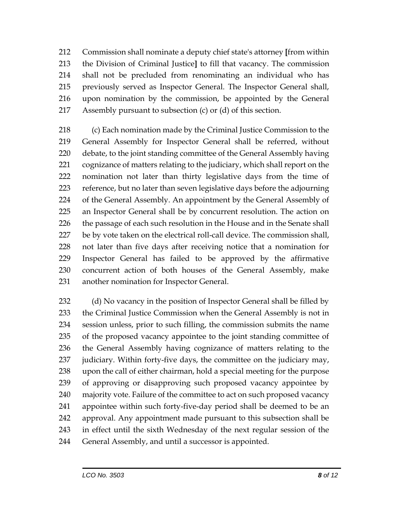Commission shall nominate a deputy chief state's attorney **[**from within the Division of Criminal Justice**]** to fill that vacancy. The commission shall not be precluded from renominating an individual who has previously served as Inspector General. The Inspector General shall, upon nomination by the commission, be appointed by the General Assembly pursuant to subsection (c) or (d) of this section.

 (c) Each nomination made by the Criminal Justice Commission to the General Assembly for Inspector General shall be referred, without debate, to the joint standing committee of the General Assembly having cognizance of matters relating to the judiciary, which shall report on the nomination not later than thirty legislative days from the time of reference, but no later than seven legislative days before the adjourning of the General Assembly. An appointment by the General Assembly of an Inspector General shall be by concurrent resolution. The action on 226 the passage of each such resolution in the House and in the Senate shall be by vote taken on the electrical roll-call device. The commission shall, not later than five days after receiving notice that a nomination for Inspector General has failed to be approved by the affirmative concurrent action of both houses of the General Assembly, make another nomination for Inspector General.

232 (d) No vacancy in the position of Inspector General shall be filled by the Criminal Justice Commission when the General Assembly is not in session unless, prior to such filling, the commission submits the name of the proposed vacancy appointee to the joint standing committee of the General Assembly having cognizance of matters relating to the 237 judiciary. Within forty-five days, the committee on the judiciary may, upon the call of either chairman, hold a special meeting for the purpose of approving or disapproving such proposed vacancy appointee by majority vote. Failure of the committee to act on such proposed vacancy appointee within such forty-five-day period shall be deemed to be an approval. Any appointment made pursuant to this subsection shall be in effect until the sixth Wednesday of the next regular session of the General Assembly, and until a successor is appointed.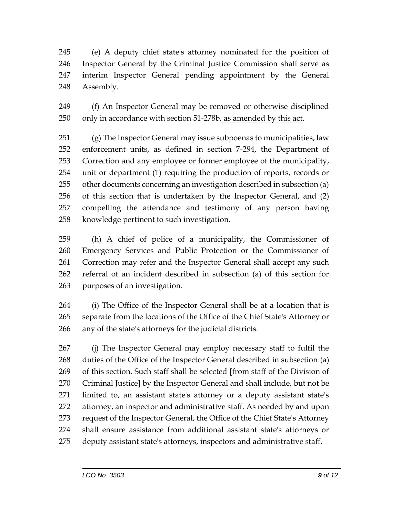(e) A deputy chief state's attorney nominated for the position of Inspector General by the Criminal Justice Commission shall serve as interim Inspector General pending appointment by the General Assembly.

 (f) An Inspector General may be removed or otherwise disciplined only in accordance with section 51-278b, as amended by this act.

 (g) The Inspector General may issue subpoenas to municipalities, law enforcement units, as defined in section 7-294, the Department of Correction and any employee or former employee of the municipality, unit or department (1) requiring the production of reports, records or other documents concerning an investigation described in subsection (a) of this section that is undertaken by the Inspector General, and (2) compelling the attendance and testimony of any person having knowledge pertinent to such investigation.

 (h) A chief of police of a municipality, the Commissioner of Emergency Services and Public Protection or the Commissioner of Correction may refer and the Inspector General shall accept any such referral of an incident described in subsection (a) of this section for purposes of an investigation.

 (i) The Office of the Inspector General shall be at a location that is separate from the locations of the Office of the Chief State's Attorney or any of the state's attorneys for the judicial districts.

 (j) The Inspector General may employ necessary staff to fulfil the duties of the Office of the Inspector General described in subsection (a) of this section. Such staff shall be selected **[**from staff of the Division of Criminal Justice**]** by the Inspector General and shall include, but not be limited to, an assistant state's attorney or a deputy assistant state's attorney, an inspector and administrative staff. As needed by and upon request of the Inspector General, the Office of the Chief State's Attorney shall ensure assistance from additional assistant state's attorneys or deputy assistant state's attorneys, inspectors and administrative staff.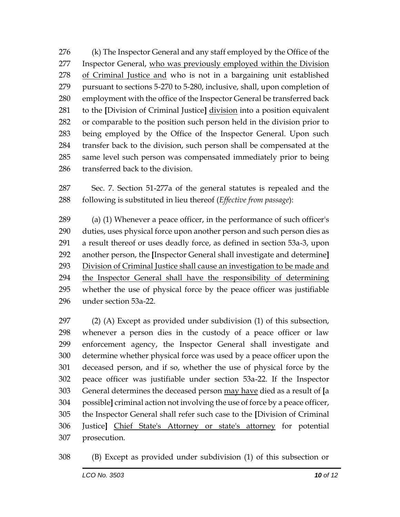(k) The Inspector General and any staff employed by the Office of the 277 Inspector General, who was previously employed within the Division of Criminal Justice and who is not in a bargaining unit established pursuant to sections 5-270 to 5-280, inclusive, shall, upon completion of employment with the office of the Inspector General be transferred back to the **[**Division of Criminal Justice**]** division into a position equivalent or comparable to the position such person held in the division prior to being employed by the Office of the Inspector General. Upon such transfer back to the division, such person shall be compensated at the same level such person was compensated immediately prior to being transferred back to the division.

 Sec. 7. Section 51-277a of the general statutes is repealed and the following is substituted in lieu thereof (*Effective from passage*):

 (a) (1) Whenever a peace officer, in the performance of such officer's duties, uses physical force upon another person and such person dies as a result thereof or uses deadly force, as defined in section 53a-3, upon another person, the **[**Inspector General shall investigate and determine**]** Division of Criminal Justice shall cause an investigation to be made and the Inspector General shall have the responsibility of determining whether the use of physical force by the peace officer was justifiable under section 53a-22.

 (2) (A) Except as provided under subdivision (1) of this subsection, whenever a person dies in the custody of a peace officer or law enforcement agency, the Inspector General shall investigate and determine whether physical force was used by a peace officer upon the deceased person, and if so, whether the use of physical force by the peace officer was justifiable under section 53a-22. If the Inspector General determines the deceased person may have died as a result of **[**a possible**]** criminal action not involving the use of force by a peace officer, the Inspector General shall refer such case to the **[**Division of Criminal Justice**]** Chief State's Attorney or state's attorney for potential prosecution.

(B) Except as provided under subdivision (1) of this subsection or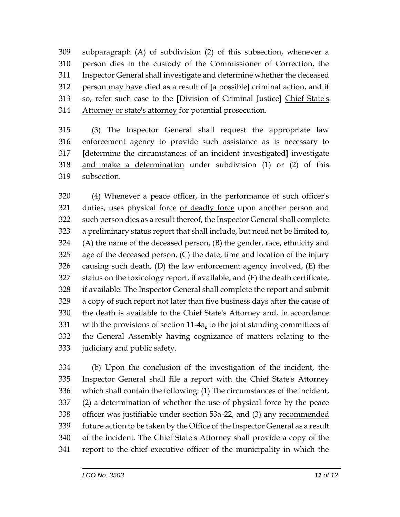subparagraph (A) of subdivision (2) of this subsection, whenever a person dies in the custody of the Commissioner of Correction, the Inspector General shall investigate and determine whether the deceased person may have died as a result of **[**a possible**]** criminal action, and if so, refer such case to the **[**Division of Criminal Justice**]** Chief State's Attorney or state's attorney for potential prosecution.

 (3) The Inspector General shall request the appropriate law enforcement agency to provide such assistance as is necessary to **[**determine the circumstances of an incident investigated**]** investigate and make a determination under subdivision (1) or (2) of this subsection.

 (4) Whenever a peace officer, in the performance of such officer's 321 duties, uses physical force or deadly force upon another person and such person dies as a result thereof, the Inspector General shall complete a preliminary status report that shall include, but need not be limited to, (A) the name of the deceased person, (B) the gender, race, ethnicity and age of the deceased person, (C) the date, time and location of the injury causing such death, (D) the law enforcement agency involved, (E) the status on the toxicology report, if available, and (F) the death certificate, if available. The Inspector General shall complete the report and submit a copy of such report not later than five business days after the cause of the death is available to the Chief State's Attorney and, in accordance with the provisions of section 11-4a, to the joint standing committees of the General Assembly having cognizance of matters relating to the judiciary and public safety.

 (b) Upon the conclusion of the investigation of the incident, the Inspector General shall file a report with the Chief State's Attorney which shall contain the following: (1) The circumstances of the incident, (2) a determination of whether the use of physical force by the peace 338 officer was justifiable under section 53a-22, and (3) any recommended future action to be taken by the Office of the Inspector General as a result of the incident. The Chief State's Attorney shall provide a copy of the report to the chief executive officer of the municipality in which the